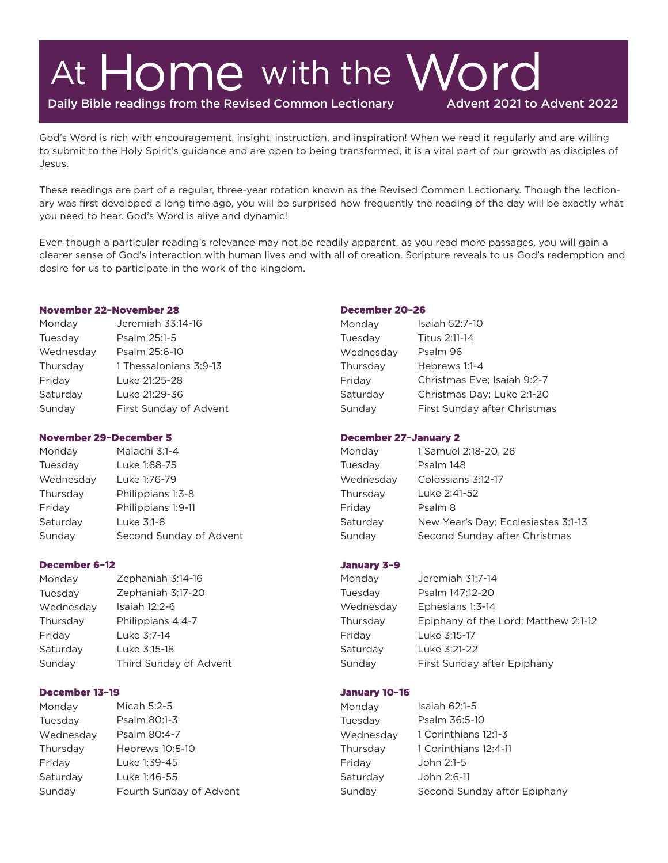# At Home with the Word

Daily Bible readings from the Revised Common Lectionary

Advent 2021 to Advent 2022

God's Word is rich with encouragement, insight, instruction, and inspiration! When we read it regularly and are willing to submit to the Holy Spirit's guidance and are open to being transformed, it is a vital part of our growth as disciples of Jesus.

These readings are part of a regular, three-year rotation known as the Revised Common Lectionary. Though the lectionary was first developed a long time ago, you will be surprised how frequently the reading of the day will be exactly what you need to hear. God's Word is alive and dynamic!

Even though a particular reading's relevance may not be readily apparent, as you read more passages, you will gain a clearer sense of God's interaction with human lives and with all of creation. Scripture reveals to us God's redemption and desire for us to participate in the work of the kingdom.

#### **November 22–November 28**

| Monday    | Jeremiah 33:14-16      |
|-----------|------------------------|
| Tuesday   | Psalm 25:1-5           |
| Wednesday | Psalm 25:6-10          |
| Thursday  | 1 Thessalonians 3:9-13 |
| Friday    | Luke 21:25-28          |
| Saturday  | Luke 21:29-36          |
| Sunday    | First Sunday of Advent |

#### **November 29–December 5**

Monday Malachi 3:1-4 Tuesday Luke 1:68-75 Wednesday Luke 1:76-79 Thursday Philippians 1:3-8 Friday Philippians 1:9-11 Saturday Luke 3:1-6 Sunday Second Sunday of Advent

#### December 6-12

| Monday    | Zephaniah 3:14-16      |
|-----------|------------------------|
| Tuesday   | Zephaniah 3:17-20      |
| Wednesday | Isaiah 12:2-6          |
| Thursday  | Philippians 4:4-7      |
| Fridav    | Luke 3:7-14            |
| Saturday  | Luke 3:15-18           |
| Sunday    | Third Sunday of Advent |

#### December 13-19

Micah 5:2-5 Monday Psalm 80:1-3 Tuesday Wednesday Psalm 80:4-7 Hebrews 10:5-10 Thursday Fridav Luke 1:39-45 Luke 1:46-55 Saturday Sunday Fourth Sunday of Advent

#### December 20-26

| Monday    | Isaiah 52:7-10               |
|-----------|------------------------------|
| Tuesday   | Titus 2:11-14                |
| Wednesday | Psalm 96                     |
| Thursday  | Hebrews 1:1-4                |
| Friday    | Christmas Eve; Isaiah 9:2-7  |
| Saturday  | Christmas Day; Luke 2:1-20   |
| Sunday    | First Sunday after Christmas |

#### **December 27–January 2**

| Monday    | 1 Samuel 2:18-20, 26                |
|-----------|-------------------------------------|
| Tuesdav   | Psalm 148                           |
| Wednesday | Colossians 3:12-17                  |
| Thursday  | Luke 2:41-52                        |
| Friday    | Psalm 8                             |
| Saturday  | New Year's Day; Ecclesiastes 3:1-13 |
| Sunday    | Second Sunday after Christmas       |

#### **January 3–9**

| Monday    | Jeremiah 31:7-14                     |
|-----------|--------------------------------------|
| Tuesday   | Psalm 147:12-20                      |
| Wednesday | Ephesians 1:3-14                     |
| Thursday  | Epiphany of the Lord; Matthew 2:1-12 |
| Friday    | Luke 3:15-17                         |
| Saturday  | Luke 3:21-22                         |
| Sunday    | First Sunday after Epiphany          |
|           |                                      |

#### January 10-16

| Monday    | Isaiah $62:1-5$              |
|-----------|------------------------------|
| Tuesdav   | Psalm 36:5-10                |
| Wednesday | 1 Corinthians 12:1-3         |
| Thursday  | 1 Corinthians 12:4-11        |
| Friday    | John 2:1-5                   |
| Saturday  | John 2:6-11                  |
| Sunday    | Second Sunday after Epiphany |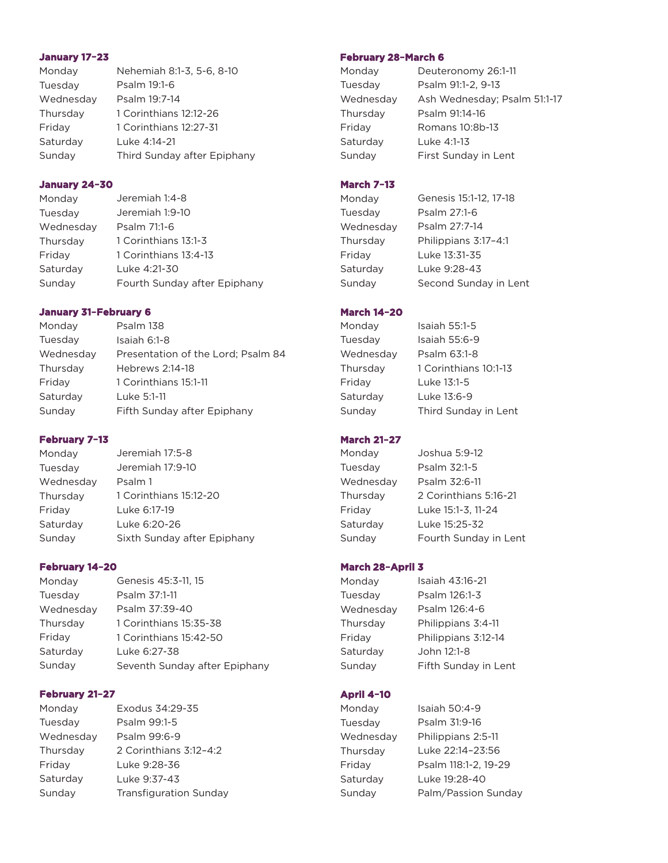#### January 17-23

| Monday    | Nehemiah 8:1-3, 5-6, 8-10   |
|-----------|-----------------------------|
| Tuesday   | Psalm 19:1-6                |
| Wednesday | Psalm 19:7-14               |
| Thursday  | 1 Corinthians 12:12-26      |
| Friday    | 1 Corinthians 12:27-31      |
| Saturday  | Luke 4:14-21                |
| Sunday    | Third Sunday after Epiphany |

#### January 24-30

| Monday    | Jeremiah 1:4-8               |
|-----------|------------------------------|
| Tuesday   | Jeremiah 1:9-10              |
| Wednesday | Psalm 71:1-6                 |
| Thursday  | 1 Corinthians 13:1-3         |
| Friday    | 1 Corinthians 13:4-13        |
| Saturday  | Luke 4:21-30                 |
| Sunday    | Fourth Sunday after Epiphany |

## **January 31–February 6**

| Psalm 138                          |
|------------------------------------|
| Isaiah 6:1-8                       |
| Presentation of the Lord; Psalm 84 |
| Hebrews 2:14-18                    |
| 1 Corinthians 15:1-11              |
| Luke 5:1-11                        |
| Fifth Sunday after Epiphany        |
|                                    |

## February 7-13

| Monday    | Jeremiah 17:5-8             |
|-----------|-----------------------------|
| Tuesday   | Jeremiah 17:9-10            |
| Wednesday | Psalm 1                     |
| Thursday  | 1 Corinthians 15:12-20      |
| Friday    | Luke 6:17-19                |
| Saturday  | Luke 6:20-26                |
| Sunday    | Sixth Sunday after Epiphany |

#### February 14-20

| Monday    | Genesis 45:3-11, 15           |
|-----------|-------------------------------|
| Tuesday   | Psalm 37:1-11                 |
| Wednesday | Psalm 37:39-40                |
| Thursday  | 1 Corinthians 15:35-38        |
| Friday    | 1 Corinthians 15:42-50        |
| Saturday  | Luke 6:27-38                  |
| Sunday    | Seventh Sunday after Epiphany |

## February 21-27

Monday Exodus 34:29-35 Tuesday Psalm 99:1-5 Wednesday Psalm 99:6-9 Thursday 2 Corinthians 3:12–4:2 Luke 9:28-36 Friday Saturday Luke 9:37-43 Sunday Transfiguration Sunday

## **February 28–March 6**

| Monday    | Deuteronomy 26:1-11          |
|-----------|------------------------------|
| Tuesday   | Psalm 91:1-2, 9-13           |
| Wednesday | Ash Wednesday; Psalm 51:1-17 |
| Thursdav  | Psalm 91:14-16               |
| Friday    | Romans 10:8b-13              |
| Saturday  | Luke 4:1-13                  |
| Sunday    | First Sunday in Lent         |
|           |                              |

## **March 7-13**

| Monday    | Genesis 15:1-12, 17-18 |
|-----------|------------------------|
| Tuesday   | Psalm 27:1-6           |
| Wednesday | Psalm 27:7-14          |
| Thursday  | Philippians 3:17-4:1   |
| Fridav    | Luke 13:31-35          |
| Saturday  | Luke 9:28-43           |
| Sunday    | Second Sunday in Lent  |

## **March 14–20**

| Monday    | Isaiah 55:1-5         |
|-----------|-----------------------|
| Tuesday   | Isaiah 55:6-9         |
| Wednesday | Psalm 63:1-8          |
| Thursday  | 1 Corinthians 10:1-13 |
| Friday    | Luke 13:1-5           |
| Saturday  | Luke 13:6-9           |
| Sunday    | Third Sunday in Lent  |

## **March 21–27**

| Monday    | Joshua 5:9-12         |
|-----------|-----------------------|
| Tuesday   | Psalm 32:1-5          |
| Wednesday | Psalm 32:6-11         |
| Thursday  | 2 Corinthians 5:16-21 |
| Friday    | Luke 15:1-3, 11-24    |
| Saturday  | Luke 15:25-32         |
| Sunday    | Fourth Sunday in Lent |

#### **March 28-April 3**

Monday Tuesday Wednesday Thursday Friday Saturday Sunday

Isaiah 43:16-21 Psalm 126:1-3 Psalm 126:4-6 Philippians 3:4-11 Philippians 3:12-14 John 12:1-8 Fifth Sunday in Lent

# **April 4-10**

| Monday    | Isaiah 50:4-9        |
|-----------|----------------------|
| Tuesday   | Psalm 31:9-16        |
| Wednesday | Philippians 2:5-11   |
| Thursday  | Luke 22:14-23:56     |
| Friday    | Psalm 118:1-2, 19-29 |
| Saturday  | Luke 19:28-40        |
| Sunday    | Palm/Passion Sunday  |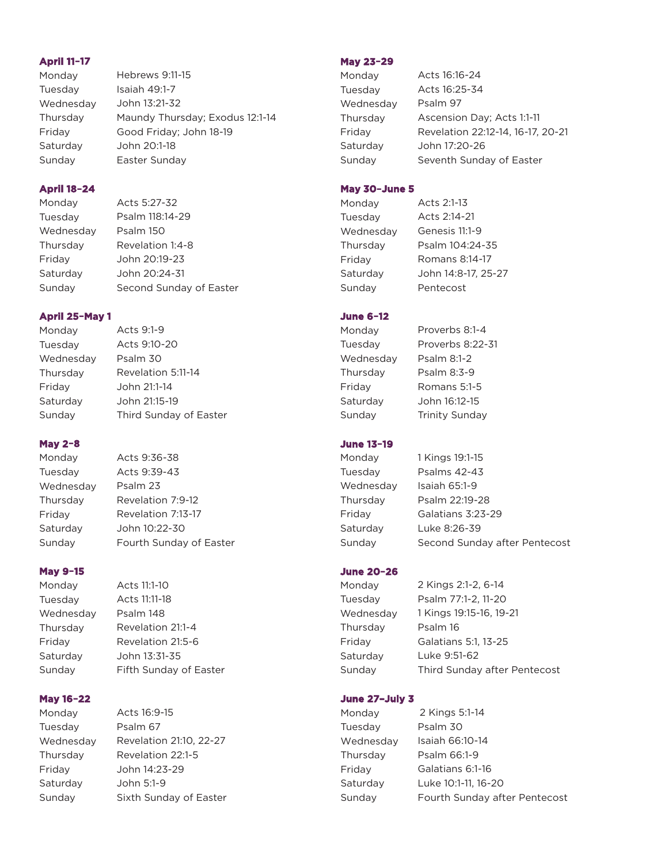## **April 11-17**

| Monday    | Hebrews 9:11-15                 |
|-----------|---------------------------------|
| Tuesday   | Isaiah 49:1-7                   |
| Wednesday | John 13:21-32                   |
| Thursday  | Maundy Thursday; Exodus 12:1-14 |
| Friday    | Good Friday; John 18-19         |
| Saturday  | John 20:1-18                    |
| Sunday    | Easter Sunday                   |

## **April 18-24**

Monday Acts 5:27-32 Tuesday Psalm 118:14-29 Psalm 150 Wednesday Thursday Revelation 1:4-8 John 20:19-23 Friday Saturday John 20:24-31 Second Sunday of Easter Sunday

## April 25-May 1

| Monday    | Acts $9.1-9$           |
|-----------|------------------------|
| Tuesday   | Acts 9:10-20           |
| Wednesday | Psalm 30               |
| Thursday  | Revelation 5:11-14     |
| Friday    | John 21:1-14           |
| Saturday  | John 21:15-19          |
| Sunday    | Third Sunday of Easter |
|           |                        |

 $\overline{a}$   $\overline{a}$ 

# **May 2-8**

Monday Tuesday Wednesday Thursday Friday Saturday Sunday

Acts 9:36-38 Acts 9:39-43 Psalm 23 Revelation 7:9-12 Revelation 7:13-17 John 10:22-30 Fourth Sunday of Easter

# **May 9-15**

Monday Tuesday Wednesday Thursday Friday Saturday Sunday

Acts 11:1-10 Acts 11:11-18 Psalm 148 Revelation 21:1-4 Revelation 21:5-6 John 13:31-35 Fifth Sunday of Easter

# **May 16-22**

Monday Tuesday Wednesday Thursday Friday Saturday Sunday

# Acts 16:9-15 Psalm 67 Revelation 21:10, 22-27 Revelation 22:1-5 John 14:23-29 John 5:1-9 Sixth Sunday of Easter

## **May 23-29**

| Monday    | Acts 16:16-24                     |
|-----------|-----------------------------------|
| Tuesday   | Acts 16:25-34                     |
| Wednesday | Psalm 97                          |
| Thursday  | Ascension Day; Acts 1:1-11        |
| Friday    | Revelation 22:12-14, 16-17, 20-21 |
| Saturday  | John 17:20-26                     |
| Sunday    | Seventh Sunday of Easter          |

## **May 30–June 5**

| Monday    | Acts 2:1-13         |
|-----------|---------------------|
| Tuesday   | Acts 2:14-21        |
| Wednesday | Genesis 11:1-9      |
| Thursday  | Psalm 104:24-35     |
| Friday    | Romans 8:14-17      |
| Saturday  | John 14:8-17, 25-27 |
| Sunday    | Pentecost           |

# **June 6-12**

Proverbs 8:1-4 Monday Proverbs 8:22-31 Tuesday Wednesday Psalm 8:1-2 Thursday Psalm 8:3-9 Friday Romans 5:1-5 Saturday John 16:12-15 Sunday Trinity Sunday

# **June 13–19**

Tuesday Psalms 42-43 Wednesday Isaiah 65:1-9 Saturday Luke 8:26-39

Monday 1 Kings 19:1-15 Thursday Psalm 22:19-28 Friday Galatians 3:23-29 Sunday Second Sunday after Pentecost

# **June 20–26**

Monday Tuesday Wednesday Thursday Friday Saturday Sunday

2 Kings 2:1-2, 6-14 Psalm 77:1-2, 11-20 1 Kings 19:15-16, 19-21 Psalm 16 Galatians 5:1, 13-25 Luke 9:51-62 Third Sunday after Pentecost

# June 27-July 3

| Monday    | 2 Kings 5:1-14                |
|-----------|-------------------------------|
| Tuesday   | Psalm 30                      |
| Wednesday | Isaiah 66:10-14               |
| Thursday  | Psalm 66:1-9                  |
| Friday    | Galatians 6:1-16              |
| Saturday  | Luke 10:1-11, 16-20           |
| Sunday    | Fourth Sunday after Pentecost |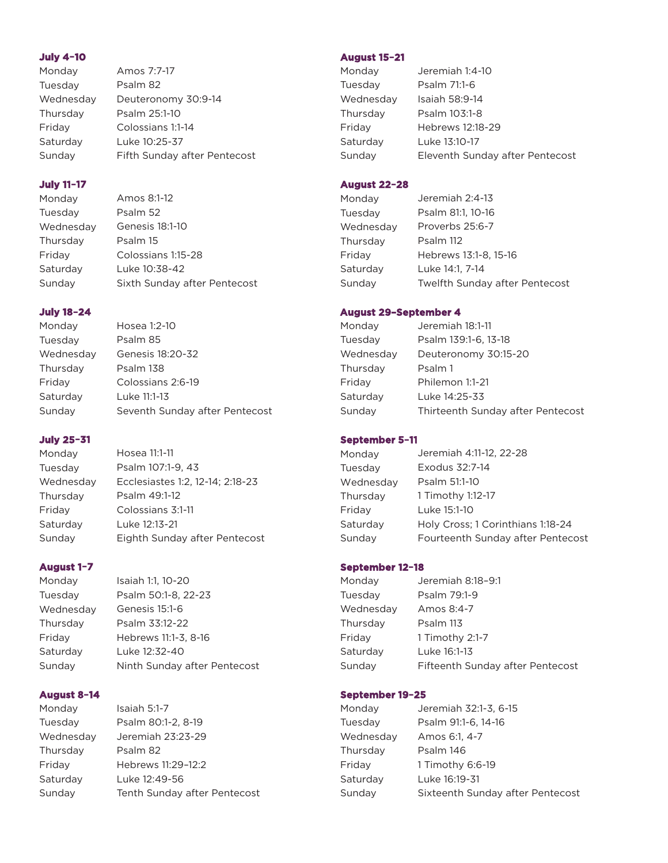#### **July 4-10**

| Monday    | Amos 7:7-17                  |
|-----------|------------------------------|
| Tuesday   | Psalm 82                     |
| Wednesday | Deuteronomy 30:9-14          |
| Thursday  | Psalm 25:1-10                |
| Friday    | Colossians 1:1-14            |
| Saturday  | Luke 10:25-37                |
| Sunday    | Fifth Sunday after Pentecost |
|           |                              |

## **July 11-17**

Amos 8:1-12 Monday Psalm 52 Tuesday Genesis 18:1-10 Wednesday Psalm 15 Thursday Colossians 1:15-28 Friday Saturday Luke 10:38-42 Sunday Sixth Sunday after Pentecost

## **July 18-24**

Monday Hosea 1:2-10 Tuesday Psalm 85 Wednesday Genesis 18:20-32 Thursday Psalm 138 Friday Colossians 2:6-19 Saturday Luke 11:1-13 Sunday Seventh Sunday after Pentecost

# **July 25-31**

Hosea 11:1-11 Monday Psalm 107:1-9, 43 Tuesday Wednesday Ecclesiastes 1:2, 12-14; 2:18-23 Psalm 49:1-12 Thursday Friday Colossians 3:1-11 Luke 12:13-21 Saturday Sunday Eighth Sunday after Pentecost

# August 1-7

Monday Isaiah 1:1, 10-20 Tuesday Psalm 50:1-8, 22-23 Wednesday Genesis 15:1-6 Psalm 33:12-22 Thursday Hebrews 11:1-3, 8-16 Friday Saturday Luke 12:32-40 Sunday Ninth Sunday after Pentecost

## **August 8–14**

Monday Isaiah 5:1-7 Tuesday Psalm 80:1-2, 8-19 Wednesday Jeremiah 23:23-29 Thursday Psalm 82 Friday Hebrews 11:29–12:2 Saturday Luke 12:49-56 Sunday Tenth Sunday after Pentecost

## **August 15–21**

| Monday    | Jeremiah 1:4-10                 |
|-----------|---------------------------------|
| Tuesday   | Psalm 71:1-6                    |
| Wednesday | Isaiah 58:9-14                  |
| Thursday  | Psalm 103:1-8                   |
| Friday    | Hebrews 12:18-29                |
| Saturday  | Luke 13:10-17                   |
| Sunday    | Eleventh Sunday after Pentecost |

## **August 22-28**

| Monday    | Jeremiah 2:4-13                |
|-----------|--------------------------------|
| Tuesdav   | Psalm 81:1, 10-16              |
| Wednesday | Proverbs 25:6-7                |
| Thursday  | Psalm 112                      |
| Friday    | Hebrews 13:1-8, 15-16          |
| Saturday  | Luke 14:1, 7-14                |
| Sunday    | Twelfth Sunday after Pentecost |

## **August 29–September 4**

| Monday    | Jeremiah 18:1-11                  |
|-----------|-----------------------------------|
| Tuesday   | Psalm 139:1-6, 13-18              |
| Wednesday | Deuteronomy 30:15-20              |
| Thursday  | Psalm 1                           |
| Friday    | Philemon 1:1-21                   |
| Saturday  | Luke 14:25-33                     |
| Sunday    | Thirteenth Sunday after Pentecost |

## **September 5-11**

| Monday    | Jeremiah 4:11-12, 22-28           |
|-----------|-----------------------------------|
| Tuesdav   | Exodus 32:7-14                    |
| Wednesday | Psalm 51:1-10                     |
| Thursday  | 1 Timothy 1:12-17                 |
| Fridav    | Luke 15:1-10                      |
| Saturdav  | Holy Cross; 1 Corinthians 1:18-24 |
| Sunday    | Fourteenth Sunday after Pentecost |

## **September 12–18**

| Monday    | Jeremiah 8:18-9:1                |
|-----------|----------------------------------|
| Tuesday   | Psalm 79:1-9                     |
| Wednesday | Amos 8:4-7                       |
| Thursday  | Psalm 113                        |
| Friday    | 1 Timothy 2:1-7                  |
| Saturday  | Luke 16:1-13                     |
| Sundav    | Fifteenth Sunday after Pentecost |

## **September 19–25**

| Monday    | Jeremiah 32:1-3, 6-15            |
|-----------|----------------------------------|
| Tuesday   | Psalm 91:1-6, 14-16              |
| Wednesday | Amos 6:1, 4-7                    |
| Thursday  | Psalm 146                        |
| Friday    | 1 Timothy 6:6-19                 |
| Saturday  | Luke 16:19-31                    |
| Sundav    | Sixteenth Sunday after Pentecost |